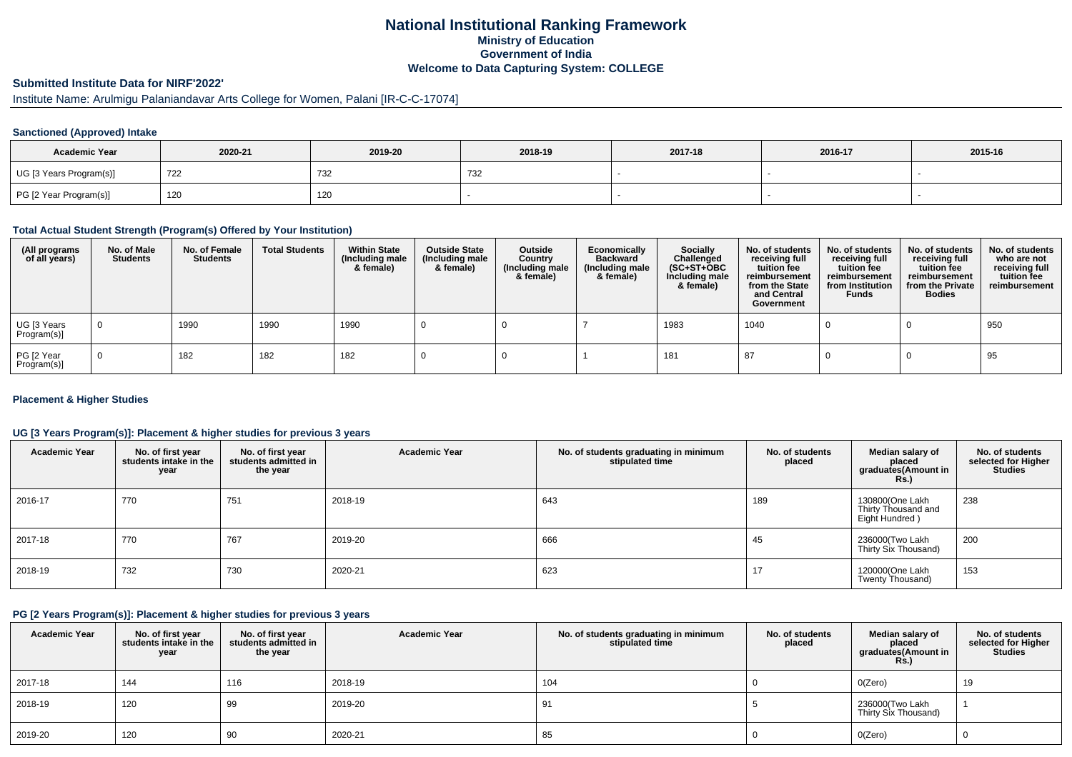## **National Institutional Ranking FrameworkMinistry of Education Government of IndiaWelcome to Data Capturing System: COLLEGE**

# **Submitted Institute Data for NIRF'2022'**

# Institute Name: Arulmigu Palaniandavar Arts College for Women, Palani [IR-C-C-17074]

### **Sanctioned (Approved) Intake**

| <b>Academic Year</b>    | 2020-21 | 2019-20 | 2018-19 | 2017-18 | 2016-17 | 2015-16 |
|-------------------------|---------|---------|---------|---------|---------|---------|
| UG [3 Years Program(s)] | 722     | 732     | ےں ا    |         |         |         |
| PG [2 Year Program(s)]  | 120     | 120     |         |         |         |         |

#### **Total Actual Student Strength (Program(s) Offered by Your Institution)**

| (All programs<br>of all years) | No. of Male<br><b>Students</b> | No. of Female<br><b>Students</b> | <b>Total Students</b> | <b>Within State</b><br>(Including male<br>& female) | <b>Outside State</b><br>(Including male<br>& female) | Outside<br>Country<br>(Including male<br>& female) | Economically<br><b>Backward</b><br>(Including male<br>& female) | <b>Socially</b><br>Challenged<br>$(SC+ST+OBC)$<br>Including male<br>& female) | No. of students<br>receiving full<br>tuition fee<br>reimbursement<br>from the State<br>and Central<br>Government | No. of students<br>receiving full<br>tuition fee<br>reimbursement<br>from Institution<br><b>Funds</b> | No. of students<br>receiving full<br>tuition fee<br>reimbursement<br>from the Private<br><b>Bodies</b> | No. of students<br>who are not<br>receiving full<br>tuition fee<br>reimbursement |
|--------------------------------|--------------------------------|----------------------------------|-----------------------|-----------------------------------------------------|------------------------------------------------------|----------------------------------------------------|-----------------------------------------------------------------|-------------------------------------------------------------------------------|------------------------------------------------------------------------------------------------------------------|-------------------------------------------------------------------------------------------------------|--------------------------------------------------------------------------------------------------------|----------------------------------------------------------------------------------|
| UG [3 Years<br>Program(s)]     |                                | 1990                             | 1990                  | 1990                                                |                                                      |                                                    |                                                                 | 1983                                                                          | 1040                                                                                                             |                                                                                                       |                                                                                                        | 950                                                                              |
| PG [2 Year<br>Program(s)]      |                                | 182                              | 182                   | 182                                                 |                                                      |                                                    |                                                                 | 181                                                                           | -87                                                                                                              |                                                                                                       |                                                                                                        | 95                                                                               |

### **Placement & Higher Studies**

### **UG [3 Years Program(s)]: Placement & higher studies for previous 3 years**

| <b>Academic Year</b> | No. of first year<br>students intake in the<br>year | No. of first year<br>students admitted in<br>the year | <b>Academic Year</b> | No. of students graduating in minimum<br>stipulated time | No. of students<br>placed | Median salary of<br>placed<br>graduates(Amount in<br>Rs. | No. of students<br>selected for Higher<br><b>Studies</b> |
|----------------------|-----------------------------------------------------|-------------------------------------------------------|----------------------|----------------------------------------------------------|---------------------------|----------------------------------------------------------|----------------------------------------------------------|
| 2016-17              | 770                                                 | 751                                                   | 2018-19              | 643                                                      | 189                       | 130800(One Lakh<br>Thirty Thousand and<br>Eight Hundred) | 238                                                      |
| 2017-18              | 770                                                 | 767                                                   | 2019-20              | 666                                                      | 45                        | 236000(Two Lakh<br>Thirty Six Thousand)                  | 200                                                      |
| 2018-19              | 732                                                 | 730                                                   | 2020-21              | 623                                                      | 17                        | 120000(One Lakh<br>Twenty Thousand)                      | 153                                                      |

#### **PG [2 Years Program(s)]: Placement & higher studies for previous 3 years**

| <b>Academic Year</b> | No. of first year<br>students intake in the<br>year | No. of first year<br>students admitted in<br>the year | <b>Academic Year</b> | No. of students graduating in minimum<br>stipulated time | No. of students<br>placed | Median salary of<br>placed<br>graduates(Amount in<br><b>Rs.)</b> | No. of students<br>selected for Higher<br><b>Studies</b> |
|----------------------|-----------------------------------------------------|-------------------------------------------------------|----------------------|----------------------------------------------------------|---------------------------|------------------------------------------------------------------|----------------------------------------------------------|
| 2017-18              | 144                                                 | 116                                                   | 2018-19              | 104                                                      |                           | O(Zero)                                                          | 19                                                       |
| 2018-19              | 120                                                 | 99                                                    | 2019-20              | 91                                                       |                           | 236000(Two Lakh<br>Thirty Six Thousand)                          |                                                          |
| 2019-20              | 120                                                 | 90                                                    | 2020-21              | 85                                                       |                           | O(Zero)                                                          |                                                          |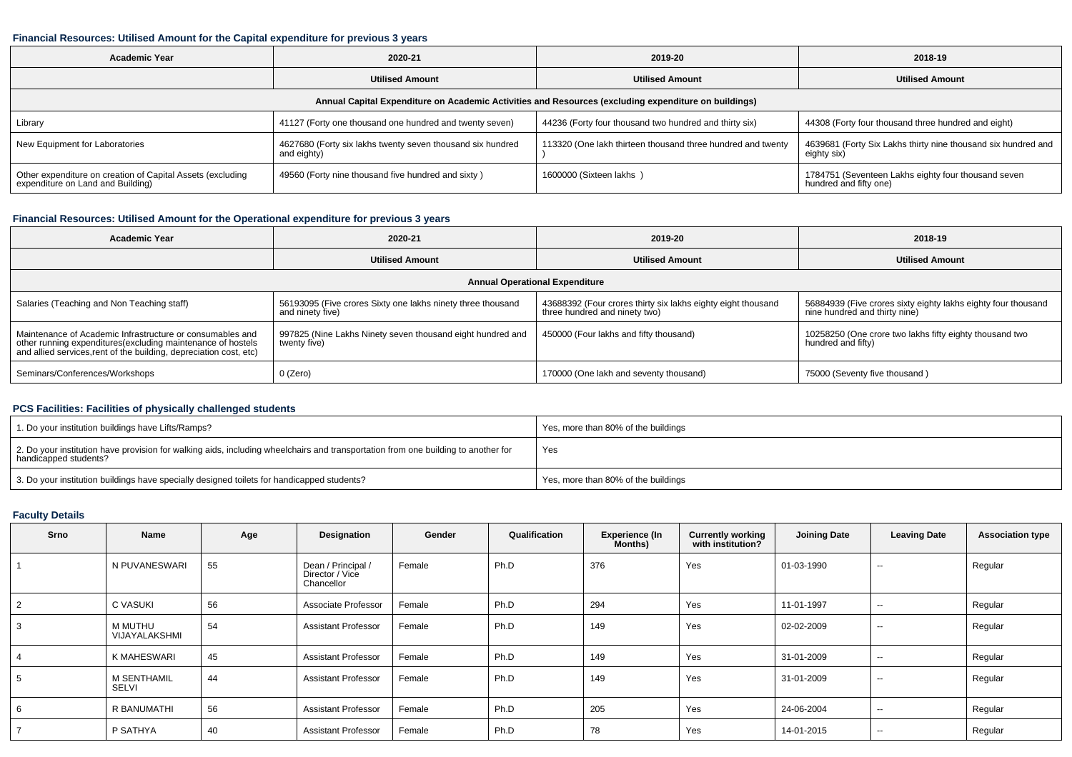#### **Financial Resources: Utilised Amount for the Capital expenditure for previous 3 years**

| Academic Year<br>2020-21                                                                             |                                                                           | 2019-20                                                     | 2018-19                                                                       |  |  |  |  |  |  |  |  |
|------------------------------------------------------------------------------------------------------|---------------------------------------------------------------------------|-------------------------------------------------------------|-------------------------------------------------------------------------------|--|--|--|--|--|--|--|--|
|                                                                                                      | <b>Utilised Amount</b>                                                    |                                                             | <b>Utilised Amount</b>                                                        |  |  |  |  |  |  |  |  |
| Annual Capital Expenditure on Academic Activities and Resources (excluding expenditure on buildings) |                                                                           |                                                             |                                                                               |  |  |  |  |  |  |  |  |
| Library                                                                                              | 41127 (Forty one thousand one hundred and twenty seven)                   | 44236 (Forty four thousand two hundred and thirty six)      | 44308 (Forty four thousand three hundred and eight)                           |  |  |  |  |  |  |  |  |
| New Equipment for Laboratories                                                                       | 4627680 (Forty six lakhs twenty seven thousand six hundred<br>and eighty) | 113320 (One lakh thirteen thousand three hundred and twenty | 4639681 (Forty Six Lakhs thirty nine thousand six hundred and<br>eighty six)  |  |  |  |  |  |  |  |  |
| Other expenditure on creation of Capital Assets (excluding<br>expenditure on Land and Building)      | 49560 (Forty nine thousand five hundred and sixty)                        | 1600000 (Sixteen lakhs)                                     | 1784751 (Seventeen Lakhs eighty four thousand seven<br>hundred and fifty one) |  |  |  |  |  |  |  |  |

### **Financial Resources: Utilised Amount for the Operational expenditure for previous 3 years**

| <b>Academic Year</b>                                                                                                                                                                            | 2020-21                                                                         |                                                                                               | 2018-19                                                                                        |  |  |  |  |  |  |  |
|-------------------------------------------------------------------------------------------------------------------------------------------------------------------------------------------------|---------------------------------------------------------------------------------|-----------------------------------------------------------------------------------------------|------------------------------------------------------------------------------------------------|--|--|--|--|--|--|--|
|                                                                                                                                                                                                 | <b>Utilised Amount</b>                                                          | <b>Utilised Amount</b>                                                                        | <b>Utilised Amount</b>                                                                         |  |  |  |  |  |  |  |
| <b>Annual Operational Expenditure</b>                                                                                                                                                           |                                                                                 |                                                                                               |                                                                                                |  |  |  |  |  |  |  |
| Salaries (Teaching and Non Teaching staff)                                                                                                                                                      | 56193095 (Five crores Sixty one lakhs ninety three thousand<br>and ninety five) | 43688392 (Four crores thirty six lakhs eighty eight thousand<br>three hundred and ninety two) | 56884939 (Five crores sixty eighty lakhs eighty four thousand<br>nine hundred and thirty nine) |  |  |  |  |  |  |  |
| Maintenance of Academic Infrastructure or consumables and<br>other running expenditures (excluding maintenance of hostels<br>and allied services, rent of the building, depreciation cost, etc) | 997825 (Nine Lakhs Ninety seven thousand eight hundred and<br>twenty five)      | 450000 (Four lakhs and fifty thousand)                                                        | 10258250 (One crore two lakhs fifty eighty thousand two<br>hundred and fifty)                  |  |  |  |  |  |  |  |
| Seminars/Conferences/Workshops                                                                                                                                                                  | $0$ (Zero)                                                                      | 170000 (One lakh and seventy thousand)                                                        | 75000 (Seventy five thousand)                                                                  |  |  |  |  |  |  |  |

## **PCS Facilities: Facilities of physically challenged students**

| 1. Do your institution buildings have Lifts/Ramps?                                                                                                         | Yes, more than 80% of the buildings |
|------------------------------------------------------------------------------------------------------------------------------------------------------------|-------------------------------------|
| 2. Do your institution have provision for walking aids, including wheelchairs and transportation from one building to another for<br>handicapped students? | Yes                                 |
| 3. Do your institution buildings have specially designed toilets for handicapped students?                                                                 | Yes, more than 80% of the buildings |

### **Faculty Details**

| Srno           | Name                     | Age | Designation                                         | Gender | Qualification | <b>Experience (In</b><br>Months) | <b>Currently working</b><br>with institution? | <b>Joining Date</b> | <b>Leaving Date</b>      | <b>Association type</b> |
|----------------|--------------------------|-----|-----------------------------------------------------|--------|---------------|----------------------------------|-----------------------------------------------|---------------------|--------------------------|-------------------------|
|                | N PUVANESWARI            | 55  | Dean / Principal /<br>Director / Vice<br>Chancellor | Female | Ph.D          | 376                              | Yes                                           | 01-03-1990          | $\sim$                   | Regular                 |
| $\overline{2}$ | C VASUKI                 | 56  | Associate Professor                                 | Female | Ph.D          | 294                              | Yes                                           | 11-01-1997          | $\sim$                   | Regular                 |
|                | M MUTHU<br>VIJAYALAKSHMI | 54  | Assistant Professor                                 | Female | Ph.D          | 149                              | Yes                                           | 02-02-2009          | $\overline{\phantom{m}}$ | Regular                 |
|                | K MAHESWARI              | 45  | <b>Assistant Professor</b>                          | Female | Ph.D          | 149                              | Yes                                           | 31-01-2009          | $\sim$                   | Regular                 |
| 5              | M SENTHAMIL<br>SELVI     | 44  | <b>Assistant Professor</b>                          | Female | Ph.D          | 149                              | Yes                                           | 31-01-2009          | $\sim$                   | Regular                 |
| 6              | R BANUMATHI              | 56  | <b>Assistant Professor</b>                          | Female | Ph.D          | 205                              | Yes                                           | 24-06-2004          | $- -$                    | Regular                 |
| $\overline{ }$ | P SATHYA                 | 40  | Assistant Professor                                 | Female | Ph.D          | 78                               | Yes                                           | 14-01-2015          | $\overline{\phantom{m}}$ | Regular                 |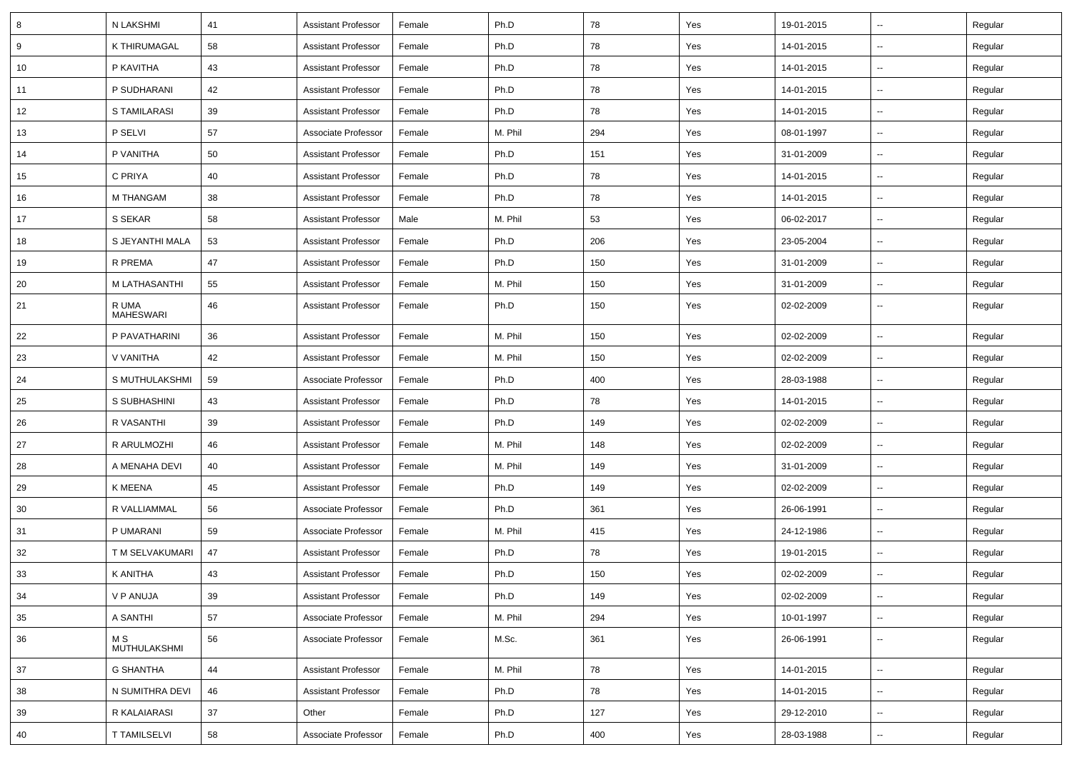| 8  | N LAKSHMI                  | 41 | <b>Assistant Professor</b> | Female | Ph.D    | 78  | Yes | 19-01-2015 | $\overline{\phantom{a}}$ | Regular |
|----|----------------------------|----|----------------------------|--------|---------|-----|-----|------------|--------------------------|---------|
| 9  | K THIRUMAGAL               | 58 | <b>Assistant Professor</b> | Female | Ph.D    | 78  | Yes | 14-01-2015 | н.                       | Regular |
| 10 | P KAVITHA                  | 43 | <b>Assistant Professor</b> | Female | Ph.D    | 78  | Yes | 14-01-2015 | --                       | Regular |
| 11 | P SUDHARANI                | 42 | <b>Assistant Professor</b> | Female | Ph.D    | 78  | Yes | 14-01-2015 | $\overline{\phantom{a}}$ | Regular |
| 12 | S TAMILARASI               | 39 | <b>Assistant Professor</b> | Female | Ph.D    | 78  | Yes | 14-01-2015 | $\overline{\phantom{a}}$ | Regular |
| 13 | P SELVI                    | 57 | Associate Professor        | Female | M. Phil | 294 | Yes | 08-01-1997 | --                       | Regular |
| 14 | P VANITHA                  | 50 | <b>Assistant Professor</b> | Female | Ph.D    | 151 | Yes | 31-01-2009 | $\overline{\phantom{a}}$ | Regular |
| 15 | C PRIYA                    | 40 | <b>Assistant Professor</b> | Female | Ph.D    | 78  | Yes | 14-01-2015 | $\sim$                   | Regular |
| 16 | M THANGAM                  | 38 | <b>Assistant Professor</b> | Female | Ph.D    | 78  | Yes | 14-01-2015 | $\overline{\phantom{a}}$ | Regular |
| 17 | S SEKAR                    | 58 | <b>Assistant Professor</b> | Male   | M. Phil | 53  | Yes | 06-02-2017 | $\overline{\phantom{a}}$ | Regular |
| 18 | S JEYANTHI MALA            | 53 | <b>Assistant Professor</b> | Female | Ph.D    | 206 | Yes | 23-05-2004 | --                       | Regular |
| 19 | R PREMA                    | 47 | <b>Assistant Professor</b> | Female | Ph.D    | 150 | Yes | 31-01-2009 | $\overline{\phantom{a}}$ | Regular |
| 20 | M LATHASANTHI              | 55 | <b>Assistant Professor</b> | Female | M. Phil | 150 | Yes | 31-01-2009 | $\overline{\phantom{a}}$ | Regular |
| 21 | R UMA<br>MAHESWARI         | 46 | <b>Assistant Professor</b> | Female | Ph.D    | 150 | Yes | 02-02-2009 | н.                       | Regular |
| 22 | P PAVATHARINI              | 36 | <b>Assistant Professor</b> | Female | M. Phil | 150 | Yes | 02-02-2009 | $\overline{\phantom{a}}$ | Regular |
| 23 | V VANITHA                  | 42 | <b>Assistant Professor</b> | Female | M. Phil | 150 | Yes | 02-02-2009 | $\overline{\phantom{a}}$ | Regular |
| 24 | S MUTHULAKSHMI             | 59 | Associate Professor        | Female | Ph.D    | 400 | Yes | 28-03-1988 | $\sim$                   | Regular |
| 25 | S SUBHASHINI               | 43 | <b>Assistant Professor</b> | Female | Ph.D    | 78  | Yes | 14-01-2015 | --                       | Regular |
| 26 | R VASANTHI                 | 39 | <b>Assistant Professor</b> | Female | Ph.D    | 149 | Yes | 02-02-2009 | $\overline{\phantom{a}}$ | Regular |
| 27 | R ARULMOZHI                | 46 | <b>Assistant Professor</b> | Female | M. Phil | 148 | Yes | 02-02-2009 | Ξ.                       | Regular |
| 28 | A MENAHA DEVI              | 40 | <b>Assistant Professor</b> | Female | M. Phil | 149 | Yes | 31-01-2009 | н.                       | Regular |
| 29 | K MEENA                    | 45 | <b>Assistant Professor</b> | Female | Ph.D    | 149 | Yes | 02-02-2009 | н.                       | Regular |
| 30 | R VALLIAMMAL               | 56 | Associate Professor        | Female | Ph.D    | 361 | Yes | 26-06-1991 | $\overline{\phantom{a}}$ | Regular |
| 31 | P UMARANI                  | 59 | Associate Professor        | Female | M. Phil | 415 | Yes | 24-12-1986 | --                       | Regular |
| 32 | T M SELVAKUMARI            | 47 | <b>Assistant Professor</b> | Female | Ph.D    | 78  | Yes | 19-01-2015 | --                       | Regular |
| 33 | K ANITHA                   | 43 | <b>Assistant Professor</b> | Female | Ph.D    | 150 | Yes | 02-02-2009 | $\overline{\phantom{a}}$ | Regular |
| 34 | V P ANUJA                  | 39 | <b>Assistant Professor</b> | Female | Ph.D    | 149 | Yes | 02-02-2009 | $\sim$                   | Regular |
| 35 | A SANTHI                   | 57 | Associate Professor        | Female | M. Phil | 294 | Yes | 10-01-1997 | $\sim$                   | Regular |
| 36 | M S<br><b>MUTHULAKSHMI</b> | 56 | Associate Professor        | Female | M.Sc.   | 361 | Yes | 26-06-1991 | $\sim$                   | Regular |
| 37 | <b>G SHANTHA</b>           | 44 | <b>Assistant Professor</b> | Female | M. Phil | 78  | Yes | 14-01-2015 | $\overline{\phantom{a}}$ | Regular |
| 38 | N SUMITHRA DEVI            | 46 | <b>Assistant Professor</b> | Female | Ph.D    | 78  | Yes | 14-01-2015 | н.                       | Regular |
| 39 | R KALAIARASI               | 37 | Other                      | Female | Ph.D    | 127 | Yes | 29-12-2010 | $\sim$                   | Regular |
| 40 | <b>T TAMILSELVI</b>        | 58 | Associate Professor        | Female | Ph.D    | 400 | Yes | 28-03-1988 | $\sim$                   | Regular |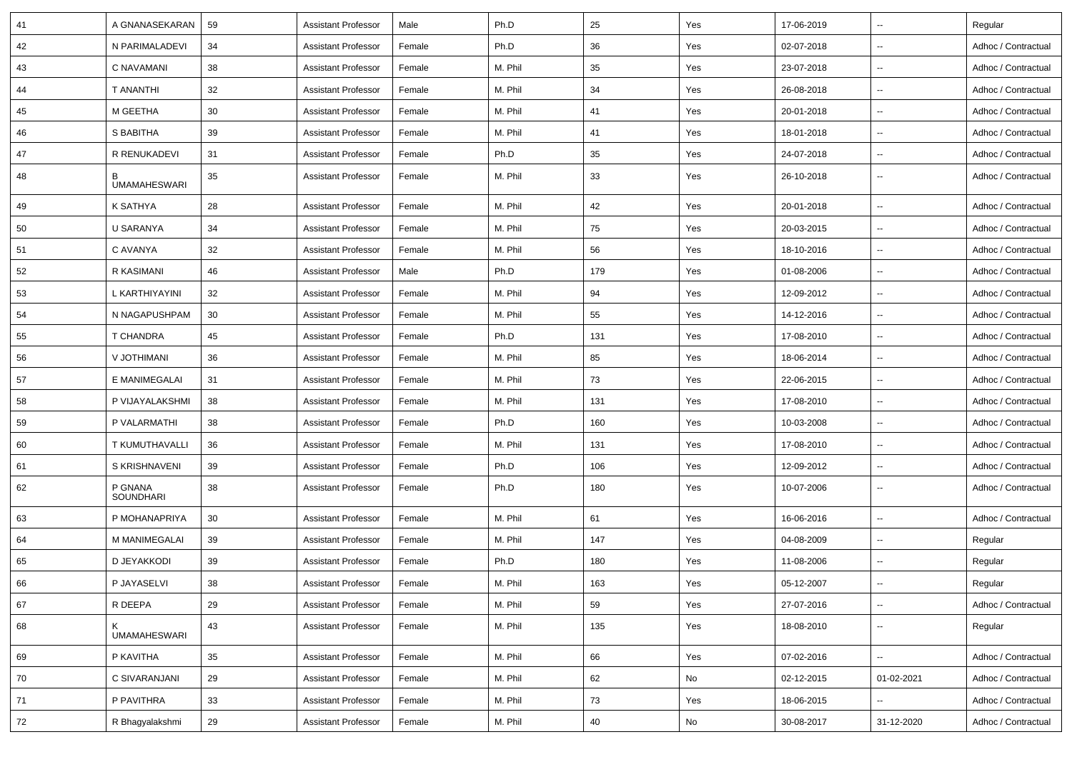| 41 | A GNANASEKARAN              | 59 | <b>Assistant Professor</b> | Male   | Ph.D    | 25  | Yes | 17-06-2019 |                          | Regular             |
|----|-----------------------------|----|----------------------------|--------|---------|-----|-----|------------|--------------------------|---------------------|
| 42 | N PARIMALADEVI              | 34 | <b>Assistant Professor</b> | Female | Ph.D    | 36  | Yes | 02-07-2018 | ⊷.                       | Adhoc / Contractual |
| 43 | C NAVAMANI                  | 38 | <b>Assistant Professor</b> | Female | M. Phil | 35  | Yes | 23-07-2018 | $\overline{\phantom{a}}$ | Adhoc / Contractual |
| 44 | T ANANTHI                   | 32 | <b>Assistant Professor</b> | Female | M. Phil | 34  | Yes | 26-08-2018 |                          | Adhoc / Contractual |
| 45 | M GEETHA                    | 30 | <b>Assistant Professor</b> | Female | M. Phil | 41  | Yes | 20-01-2018 | $\sim$                   | Adhoc / Contractual |
| 46 | S BABITHA                   | 39 | <b>Assistant Professor</b> | Female | M. Phil | 41  | Yes | 18-01-2018 | $\sim$                   | Adhoc / Contractual |
| 47 | R RENUKADEVI                | 31 | <b>Assistant Professor</b> | Female | Ph.D    | 35  | Yes | 24-07-2018 | $\sim$                   | Adhoc / Contractual |
| 48 | B<br><b>UMAMAHESWARI</b>    | 35 | <b>Assistant Professor</b> | Female | M. Phil | 33  | Yes | 26-10-2018 | $\overline{\phantom{a}}$ | Adhoc / Contractual |
| 49 | K SATHYA                    | 28 | <b>Assistant Professor</b> | Female | M. Phil | 42  | Yes | 20-01-2018 | $\overline{a}$           | Adhoc / Contractual |
| 50 | U SARANYA                   | 34 | <b>Assistant Professor</b> | Female | M. Phil | 75  | Yes | 20-03-2015 | $\sim$                   | Adhoc / Contractual |
| 51 | C AVANYA                    | 32 | <b>Assistant Professor</b> | Female | M. Phil | 56  | Yes | 18-10-2016 |                          | Adhoc / Contractual |
| 52 | R KASIMANI                  | 46 | <b>Assistant Professor</b> | Male   | Ph.D    | 179 | Yes | 01-08-2006 | --                       | Adhoc / Contractual |
| 53 | L KARTHIYAYINI              | 32 | <b>Assistant Professor</b> | Female | M. Phil | 94  | Yes | 12-09-2012 | $\sim$                   | Adhoc / Contractual |
| 54 | N NAGAPUSHPAM               | 30 | <b>Assistant Professor</b> | Female | M. Phil | 55  | Yes | 14-12-2016 | $\sim$                   | Adhoc / Contractual |
| 55 | <b>T CHANDRA</b>            | 45 | <b>Assistant Professor</b> | Female | Ph.D    | 131 | Yes | 17-08-2010 | ⊷.                       | Adhoc / Contractual |
| 56 | <b>V JOTHIMANI</b>          | 36 | <b>Assistant Professor</b> | Female | M. Phil | 85  | Yes | 18-06-2014 | --                       | Adhoc / Contractual |
| 57 | E MANIMEGALAI               | 31 | <b>Assistant Professor</b> | Female | M. Phil | 73  | Yes | 22-06-2015 | --                       | Adhoc / Contractual |
| 58 | P VIJAYALAKSHMI             | 38 | <b>Assistant Professor</b> | Female | M. Phil | 131 | Yes | 17-08-2010 | ۰.                       | Adhoc / Contractual |
| 59 | P VALARMATHI                | 38 | <b>Assistant Professor</b> | Female | Ph.D    | 160 | Yes | 10-03-2008 | $\sim$                   | Adhoc / Contractual |
| 60 | T KUMUTHAVALLI              | 36 | <b>Assistant Professor</b> | Female | M. Phil | 131 | Yes | 17-08-2010 | Ξ.                       | Adhoc / Contractual |
| 61 | S KRISHNAVENI               | 39 | <b>Assistant Professor</b> | Female | Ph.D    | 106 | Yes | 12-09-2012 | $\overline{a}$           | Adhoc / Contractual |
| 62 | P GNANA<br><b>SOUNDHARI</b> | 38 | <b>Assistant Professor</b> | Female | Ph.D    | 180 | Yes | 10-07-2006 | --                       | Adhoc / Contractual |
| 63 | P MOHANAPRIYA               | 30 | <b>Assistant Professor</b> | Female | M. Phil | 61  | Yes | 16-06-2016 | --                       | Adhoc / Contractual |
| 64 | M MANIMEGALAI               | 39 | <b>Assistant Professor</b> | Female | M. Phil | 147 | Yes | 04-08-2009 |                          | Regular             |
| 65 | D JEYAKKODI                 | 39 | <b>Assistant Professor</b> | Female | Ph.D    | 180 | Yes | 11-08-2006 | --                       | Regular             |
| 66 | P JAYASELVI                 | 38 | Assistant Professor        | Female | M. Phil | 163 | Yes | 05-12-2007 |                          | Regular             |
| 67 | R DEEPA                     | 29 | <b>Assistant Professor</b> | Female | M. Phil | 59  | Yes | 27-07-2016 | $\overline{\phantom{a}}$ | Adhoc / Contractual |
| 68 | ĸ<br><b>UMAMAHESWARI</b>    | 43 | <b>Assistant Professor</b> | Female | M. Phil | 135 | Yes | 18-08-2010 | ₩.                       | Regular             |
| 69 | P KAVITHA                   | 35 | <b>Assistant Professor</b> | Female | M. Phil | 66  | Yes | 07-02-2016 | н.                       | Adhoc / Contractual |
| 70 | C SIVARANJANI               | 29 | <b>Assistant Professor</b> | Female | M. Phil | 62  | No  | 02-12-2015 | 01-02-2021               | Adhoc / Contractual |
| 71 | P PAVITHRA                  | 33 | <b>Assistant Professor</b> | Female | M. Phil | 73  | Yes | 18-06-2015 | Ξ.                       | Adhoc / Contractual |
| 72 | R Bhagyalakshmi             | 29 | <b>Assistant Professor</b> | Female | M. Phil | 40  | No  | 30-08-2017 | 31-12-2020               | Adhoc / Contractual |